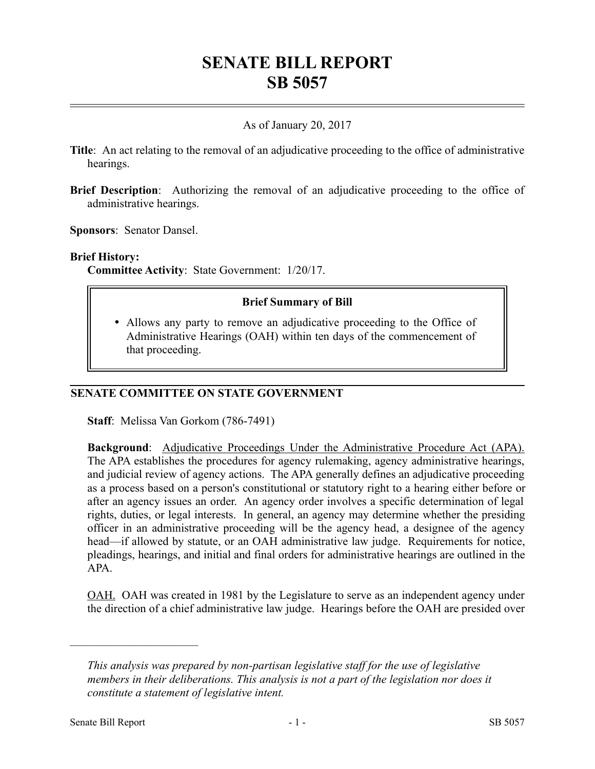# **SENATE BILL REPORT SB 5057**

## As of January 20, 2017

- **Title**: An act relating to the removal of an adjudicative proceeding to the office of administrative hearings.
- **Brief Description**: Authorizing the removal of an adjudicative proceeding to the office of administrative hearings.

**Sponsors**: Senator Dansel.

#### **Brief History:**

**Committee Activity**: State Government: 1/20/17.

### **Brief Summary of Bill**

 Allows any party to remove an adjudicative proceeding to the Office of Administrative Hearings (OAH) within ten days of the commencement of that proceeding.

### **SENATE COMMITTEE ON STATE GOVERNMENT**

**Staff**: Melissa Van Gorkom (786-7491)

**Background:** Adjudicative Proceedings Under the Administrative Procedure Act (APA). The APA establishes the procedures for agency rulemaking, agency administrative hearings, and judicial review of agency actions. The APA generally defines an adjudicative proceeding as a process based on a person's constitutional or statutory right to a hearing either before or after an agency issues an order. An agency order involves a specific determination of legal rights, duties, or legal interests. In general, an agency may determine whether the presiding officer in an administrative proceeding will be the agency head, a designee of the agency head—if allowed by statute, or an OAH administrative law judge. Requirements for notice, pleadings, hearings, and initial and final orders for administrative hearings are outlined in the APA.

OAH. OAH was created in 1981 by the Legislature to serve as an independent agency under the direction of a chief administrative law judge. Hearings before the OAH are presided over

––––––––––––––––––––––

*This analysis was prepared by non-partisan legislative staff for the use of legislative members in their deliberations. This analysis is not a part of the legislation nor does it constitute a statement of legislative intent.*